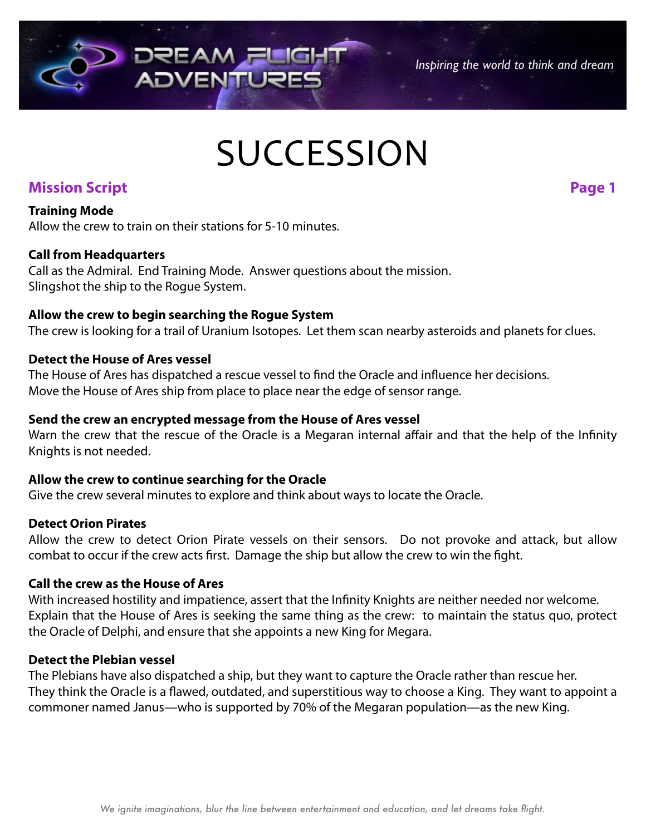# **SUCCESSION**

# **Mission Script Page 1**

*Inspiring the world to think and dream*

#### **Training Mode**

Allow the crew to train on their stations for 5-10 minutes.

#### **Call from Headquarters**

Call as the Admiral. End Training Mode. Answer questions about the mission. Slingshot the ship to the Rogue System.

#### **Allow the crew to begin searching the Rogue System**

The crew is looking for a trail of Uranium Isotopes. Let them scan nearby asteroids and planets for clues.

#### **Detect the House of Ares vessel**

The House of Ares has dispatched a rescue vessel to find the Oracle and influence her decisions. Move the House of Ares ship from place to place near the edge of sensor range.

#### **Send the crew an encrypted message from the House of Ares vessel**

Warn the crew that the rescue of the Oracle is a Megaran internal affair and that the help of the Infinity Knights is not needed.

#### **Allow the crew to continue searching for the Oracle**

Give the crew several minutes to explore and think about ways to locate the Oracle.

#### **Detect Orion Pirates**

Allow the crew to detect Orion Pirate vessels on their sensors. Do not provoke and attack, but allow combat to occur if the crew acts first. Damage the ship but allow the crew to win the fight.

#### **Call the crew as the House of Ares**

With increased hostility and impatience, assert that the Infinity Knights are neither needed nor welcome. Explain that the House of Ares is seeking the same thing as the crew: to maintain the status quo, protect the Oracle of Delphi, and ensure that she appoints a new King for Megara.

#### **Detect the Plebian vessel**

The Plebians have also dispatched a ship, but they want to capture the Oracle rather than rescue her. They think the Oracle is a flawed, outdated, and superstitious way to choose a King. They want to appoint a commoner named Janus—who is supported by 70% of the Megaran population—as the new King.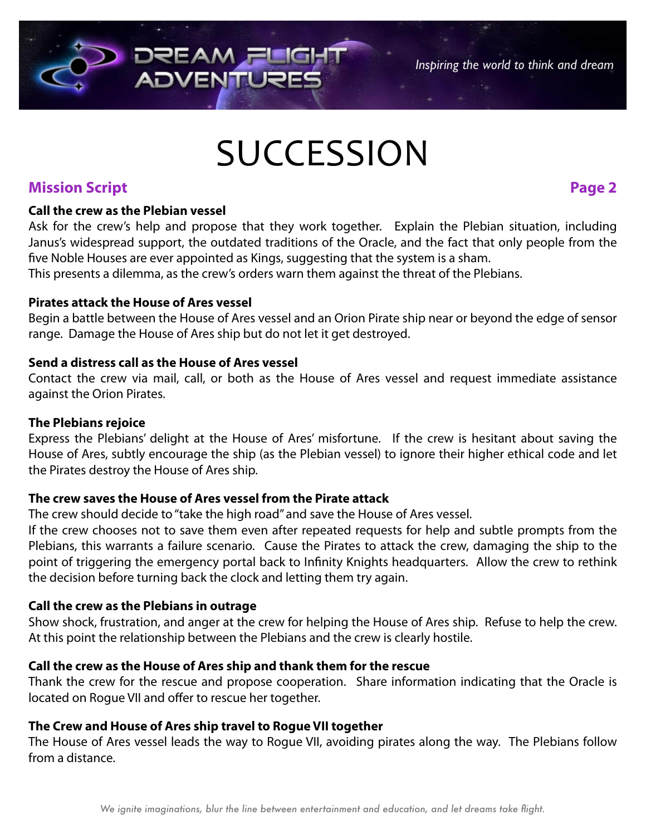# **SUCCESSION**

# **Mission Script Page 2**

*Inspiring the world to think and dream*

#### **Call the crew as the Plebian vessel**

Ask for the crew's help and propose that they work together. Explain the Plebian situation, including Janus's widespread support, the outdated traditions of the Oracle, and the fact that only people from the five Noble Houses are ever appointed as Kings, suggesting that the system is a sham.

This presents a dilemma, as the crew's orders warn them against the threat of the Plebians.

#### **Pirates attack the House of Ares vessel**

Begin a battle between the House of Ares vessel and an Orion Pirate ship near or beyond the edge of sensor range. Damage the House of Ares ship but do not let it get destroyed.

#### **Send a distress call as the House of Ares vessel**

Contact the crew via mail, call, or both as the House of Ares vessel and request immediate assistance against the Orion Pirates.

#### **The Plebians rejoice**

Express the Plebians' delight at the House of Ares' misfortune. If the crew is hesitant about saving the House of Ares, subtly encourage the ship (as the Plebian vessel) to ignore their higher ethical code and let the Pirates destroy the House of Ares ship.

### **The crew saves the House of Ares vessel from the Pirate attack**

**DREAM**<sub>F</sub>I

**ADVENTU** 

The crew should decide to "take the high road" and save the House of Ares vessel.

If the crew chooses not to save them even after repeated requests for help and subtle prompts from the Plebians, this warrants a failure scenario. Cause the Pirates to attack the crew, damaging the ship to the point of triggering the emergency portal back to Infinity Knights headquarters. Allow the crew to rethink the decision before turning back the clock and letting them try again.

## **Call the crew as the Plebians in outrage**

Show shock, frustration, and anger at the crew for helping the House of Ares ship. Refuse to help the crew. At this point the relationship between the Plebians and the crew is clearly hostile.

## **Call the crew as the House of Ares ship and thank them for the rescue**

Thank the crew for the rescue and propose cooperation. Share information indicating that the Oracle is located on Rogue VII and offer to rescue her together.

# **The Crew and House of Ares ship travel to Rogue VII together**

The House of Ares vessel leads the way to Rogue VII, avoiding pirates along the way. The Plebians follow from a distance.